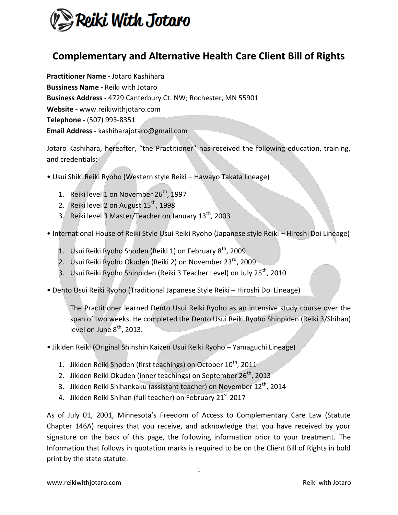

## **Complementary and Alternative Health Care Client Bill of Rights**

**Practitioner Name -** Jotaro Kashihara **Bussiness Name -** Reiki with Jotaro **Business Address -** 4729 Canterbury Ct. NW; Rochester, MN 55901 **Website -** www.reikiwithjotaro.com **Telephone -** (507) 993-8351 **Email Address -** kashiharajotaro@gmail.com

Jotaro Kashihara, hereafter, "the Practitioner" has received the following education, training, and credentials:

- Usui Shiki Reiki Ryoho (Western style Reiki Hawayo Takata lineage)
	- 1. Reiki level 1 on November  $26<sup>th</sup>$ , 1997
	- 2. Reiki level 2 on August  $15<sup>th</sup>$ , 1998
	- 3. Reiki level 3 Master/Teacher on January  $13^{th}$ , 2003
- International House of Reiki Style Usui Reiki Ryoho (Japanese style Reiki Hiroshi Doi Lineage)
	- 1. Usui Reiki Ryoho Shoden (Reiki 1) on February 8<sup>th</sup>, 2009
	- 2. Usui Reiki Ryoho Okuden (Reiki 2) on November 23rd, 2009
	- 3. Usui Reiki Ryoho Shinpiden (Reiki 3 Teacher Level) on July 25<sup>th</sup>, 2010
- Dento Usui Reiki Ryoho (Traditional Japanese Style Reiki Hiroshi Doi Lineage)

The Practitioner learned Dento Usui Reiki Ryoho as an intensive study course over the span of two weeks. He completed the Dento Usui Reiki Ryoho Shinpiden (Reiki 3/Shihan) level on June  $8<sup>th</sup>$ , 2013.

- Jikiden Reiki (Original Shinshin Kaizen Usui Reiki Ryoho Yamaguchi Lineage)
	- 1. Jikiden Reiki Shoden (first teachings) on October  $10^{th}$ , 2011
	- 2. Jikiden Reiki Okuden (inner teachings) on September  $26<sup>th</sup>$ , 2013
	- 3. Jikiden Reiki Shihankaku (assistant teacher) on November  $12^{th}$ , 2014
	- 4. Jikiden Reiki Shihan (full teacher) on February 21 $^{\rm st}$  2017

As of July 01, 2001, Minnesota's Freedom of Access to Complementary Care Law (Statute Chapter 146A) requires that you receive, and acknowledge that you have received by your signature on the back of this page, the following information prior to your treatment. The Information that follows in quotation marks is required to be on the Client Bill of Rights in bold print by the state statute: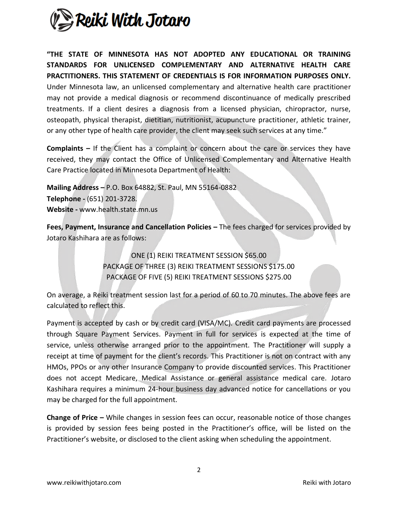

**"THE STATE OF MINNESOTA HAS NOT ADOPTED ANY EDUCATIONAL OR TRAINING STANDARDS FOR UNLICENSED COMPLEMENTARY AND ALTERNATIVE HEALTH CARE PRACTITIONERS. THIS STATEMENT OF CREDENTIALS IS FOR INFORMATION PURPOSES ONLY.**  Under Minnesota law, an unlicensed complementary and alternative health care practitioner may not provide a medical diagnosis or recommend discontinuance of medically prescribed treatments. If a client desires a diagnosis from a licensed physician, chiropractor, nurse, osteopath, physical therapist, dietitian, nutritionist, acupuncture practitioner, athletic trainer, or any other type of health care provider, the client may seek such services at any time."

**Complaints –** If the Client has a complaint or concern about the care or services they have received, they may contact the Office of Unlicensed Complementary and Alternative Health Care Practice located in Minnesota Department of Health:

**Mailing Address –** P.O. Box 64882, St. Paul, MN 55164-0882 **Telephone -** (651) 201-3728. **Website -** www.health.state.mn.us

**Fees, Payment, Insurance and Cancellation Policies –** The fees charged for services provided by Jotaro Kashihara are as follows:

> ONE (1) REIKI TREATMENT SESSION \$65.00 PACKAGE OF THREE (3) REIKI TREATMENT SESSIONS \$175.00 PACKAGE OF FIVE (5) REIKI TREATMENT SESSIONS \$275.00

On average, a Reiki treatment session last for a period of 60 to 70 minutes. The above fees are calculated to reflect this.

Payment is accepted by cash or by credit card (VISA/MC). Credit card payments are processed through Square Payment Services. Payment in full for services is expected at the time of service, unless otherwise arranged prior to the appointment. The Practitioner will supply a receipt at time of payment for the client's records. This Practitioner is not on contract with any HMOs, PPOs or any other Insurance Company to provide discounted services. This Practitioner does not accept Medicare, Medical Assistance or general assistance medical care. Jotaro Kashihara requires a minimum 24-hour business day advanced notice for cancellations or you may be charged for the full appointment.

**Change of Price –** While changes in session fees can occur, reasonable notice of those changes is provided by session fees being posted in the Practitioner's office, will be listed on the Practitioner's website, or disclosed to the client asking when scheduling the appointment.